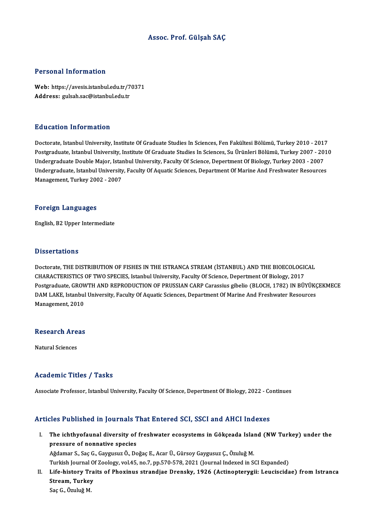#### Assoc. Prof. Gülşah SAÇ

#### Personal Information

Personal Information<br>Web: https://avesis.istanbul.edu.tr/70371<br>Addressy sylseb.see@istanbul.edu.tr 1 STOOMAT INTOI INGEESI<br>Web: https://avesis.istanbul.edu.tr/7<br>Address: gulsah.sac@istanbul.edu.tr Address: gulsah.sac@istanbul.edu.tr<br>Education Information

Doctorate, Istanbul University, Institute Of Graduate Studies In Sciences, Fen Fakültesi Bölümü, Turkey 2010 - 2017 Postgraduate, Istanbul University, Institute Of Graduate Studies In Sciences, Su Ürünleri Bölümü, Turkey 2007 - 2010 Doctorate, Istanbul University, Institute Of Graduate Studies In Sciences, Fen Fakültesi Bölümü, Turkey 2010 - 201<br>Postgraduate, Istanbul University, Institute Of Graduate Studies In Sciences, Su Ürünleri Bölümü, Turkey 20 Undergraduate, Istanbul University, Faculty Of Aquatic Sciences, Department Of Marine And Freshwater Resources<br>Management, Turkey 2002 - 2007 Undergraduate Double Major, Istai<br>Undergraduate, Istanbul University<br>Management, Turkey 2002 - 2007

#### Foreign Languages

English,B2Upper Intermediate

#### **Dissertations**

Dissertations<br>Doctorate, THE DISTRIBUTION OF FISHES IN THE ISTRANCA STREAM (İSTANBUL) AND THE BIOECOLOGICAL<br>CHARACTERISTICS OF TWO SPECIES Jetaphyl University Easylty Of Science Department Of Biology 2017 Dissor decorre<br>Doctorate, THE DISTRIBUTION OF FISHES IN THE ISTRANCA STREAM (İSTANBUL) AND THE BIOECOLOGIO<br>CHARACTERISTICS OF TWO SPECIES, Istanbul University, Faculty Of Science, Depertment Of Biology, 2017<br>Bostaraduata, Doctorate, THE DISTRIBUTION OF FISHES IN THE ISTRANCA STREAM (İSTANBUL) AND THE BIOECOLOGICAL<br>CHARACTERISTICS OF TWO SPECIES, Istanbul University, Faculty Of Science, Depertment Of Biology, 2017<br>Postgraduate, GROWTH AND RE CHARACTERISTICS OF TWO SPECIES, Istanbul University, Faculty Of Science, Depertment Of Biology, 2017<br>Postgraduate, GROWTH AND REPRODUCTION OF PRUSSIAN CARP Carassius gibelio (BLOCH, 1782) IN BÜYÜKÇ<br>DAM LAKE, Istanbul Unive Postgraduate, GROV<br>DAM LAKE, Istanbul<br>Management, 2010

# management, 2010<br>Research Areas <mark>Research Are</mark><br>Natural Sciences

# Natural Sciences<br>Academic Titles / Tasks

Associate Professor, Istanbul University, Faculty Of Science, Depertment Of Biology, 2022 - Continues

#### Articles Published in Journals That Entered SCI, SSCI and AHCI Indexes

rticles Published in Journals That Entered SCI, SSCI and AHCI Indexes<br>I. The ichthyofaunal diversity of freshwater ecosystems in Gökçeada Island (NW Turkey) under the<br>Pressure of ponnative anogies pressure of nonnative species<br>pressure of nonnative species<br>and an an an annual pressure of nonnative species pressure of nonnative species<br>Ağdamar S., Saç G., Gaygusuz Ö., Doğaç E., Acar Ü., Gürsoy Gaygusuz Ç., Özuluğ M.

Turkish Journal Of Zoology, vol.45, no.7, pp.570-578, 2021 (Journal Indexed in SCI Expanded) Ağdamar S., Saç G., Gaygusuz Ö., Doğaç E., Acar Ü., Gürsoy Gaygusuz Ç., Özuluğ M.<br>Turkish Journal Of Zoology, vol.45, no.7, pp.570-578, 2021 (Journal Indexed in SCI Expanded)<br>II. Life-history Traits of Phoxinus strandj

Turkish Journal O<br>Life-history Tra<br>Stream, Turkey<br>See C. Ömluž M Life-history Tr<br>Stream, Turkey<br>Saç G., Özuluğ M.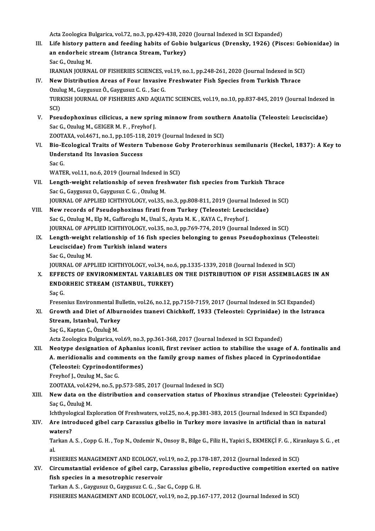Acta Zoologica Bulgarica, vol.72, no.3, pp.429-438, 2020 (Journal Indexed in SCI Expanded)<br>Life bistouy pattern and fooding babits of Cobie bulgarisus (Dransly, 1936) (Bis

Acta Zoologica Bulgarica, vol.72, no.3, pp.429-438, 2020 (Journal Indexed in SCI Expanded)<br>III. Life history pattern and feeding habits of Gobio bulgaricus (Drensky, 1926) (Pisces: Gobionidae) in<br>An enderheis stream (J Acta Zoologica Bulgarica, vol.72, no.3, pp.429-438, 202<br>Life history pattern and feeding habits of Gobio<br>an endorheic stream (Istranca Stream, Turkey)<br>See C. Omlug M Life history pa<br>an endorheic s<br>Sac G., Ozulug M.<br>IPANIAN IOUPN an endorheic stream (Istranca Stream, Turkey)<br>Sac G., Ozulug M.<br>IRANIAN JOURNAL OF FISHERIES SCIENCES, vol.19, no.1, pp.248-261, 2020 (Journal Indexed in SCI)

IV. NewDistribution Areas of Four Invasive Freshwater Fish Species fromTurkish Thrace IRANIAN JOURNAL OF FISHERIES SCIENCES, v<br>New Distribution Areas of Four Invasive<br>Ozulug M., Gaygusuz Ö., Gaygusuz C. G. , Sac G.<br>TURKISH JOURNAL OF FISHERIES AND AQUAT TURKISH JOURNAL OF FISHERIES AND AQUATIC SCIENCES, vol.19, no.10, pp.837-845, 2019 (Journal Indexed in<br>SCI) Ozuli<br>TURI<br>SCI)<br>Bsev

TURKISH JOURNAL OF FISHERIES AND AQUATIC SCIENCES, vol.19, no.10, pp.837-845, 2019 (Journal Indexed<br>SCI)<br>V. Pseudophoxinus cilicicus, a new spring minnow from southern Anatolia (Teleostei: Leuciscidae)<br>See C. Orulus M. GEI SCI)<br>Pseudophoxinus cilicicus, a new sprii<br>Sac G., Ozulug M., GEIGER M. F. , Freyhof J.<br>ZOOTAYA, vol 4671, no 1, nn 105, 119, 201 Pseudophoxinus cilicicus, a new spring minnow from souther<br>Sac G., Ozulug M., GEIGER M. F., Freyhof J.<br>ZOOTAXA, vol.4671, no.1, pp.105-118, 2019 (Journal Indexed in SCI)<br>Pie Feelegisel Traits of Western Tubenese Cobu Prote Sac G., Ozulug M., GEIGER M. F. , Freyhof J.<br>ZOOTAXA, vol.4671, no.1, pp.105-118, 2019 (Journal Indexed in SCI)<br>VI. Bio-Ecological Traits of Western Tubenose Goby Proterorhinus semilunaris (Heckel, 1837): A Key to<br>Understa

ZOOTAXA, vol.4671, no.1, pp.105-118<br>Bio-Ecological Traits of Western<br>Understand Its Invasion Success<br>See C **Bio-E<br>Unde:<br>Sac G.<br>WATE** Understand Its Invasion Success<br>Sac G.<br>WATER, vol.11, no.6, 2019 (Journal Indexed in SCI)<br>Length weight relationship of seven freebwet

- Sac G.<br>WATER, vol.11, no.6, 2019 (Journal Indexed in SCI)<br>VII. Length-weight relationship of seven freshwater fish species from Turkish Thrace<br>Sac G., Gaygusuz O., Gaygusuz C. G. , Ozulug M. WATER, vol.11, no.6, 2019 (Journal Indexed in<br>Length-weight relationship of seven fres<br>Sac G., Gaygusuz O., Gaygusuz C. G. , Ozulug M.<br>JOUPMAL OF APPLIED JCHTHVOLOCY VOL25 Length-weight relationship of seven freshwater fish species from Turkish Thrace<br>Sac G., Gaygusuz O., Gaygusuz C. G. , Ozulug M.<br>JOURNAL OF APPLIED ICHTHYOLOGY, vol.35, no.3, pp.808-811, 2019 (Journal Indexed in SCI)<br>Navy r
- VIII. New records of Pseudophoxinus firati from Turkey (Teleostei: Leuciscidae)<br>Sac G., Ozulug M., Elp M., Gaffaroglu M., Unal S., Ayata M. K., KAYA C., Freyhof J. JOURNAL OF APPLIED ICHTHYOLOGY, vol.35, no.3, pp.808-811, 2019 (Journal<br>New records of Pseudophoxinus firati from Turkey (Teleostei: Leucis<br>Sac G., Ozulug M., Elp M., Gaffaroglu M., Unal S., Ayata M. K. , KAYA C., Freyhof JOURNAL OF APPLIED ICHTHYOLOGY, vol.35, no.3, pp.769-774, 2019 (Journal Indexed in SCI) Sac G., Ozulug M., Elp M., Gaffaroglu M., Unal S., Ayata M. K. , KAYA C., Freyhof J.<br>JOURNAL OF APPLIED ICHTHYOLOGY, vol.35, no.3, pp.769-774, 2019 (Journal Indexed in SCI)<br>IX. Length-weight relationship of 16 fish species
	- JOURNAL OF APPLIED ICHTHYOLOGY, vol.35, r<br>Length-weight relationship of 16 fish spe<br>Leuciscidae) from Turkish inland waters<br>See C. Ozulug M Le<mark>ngth-weight</mark><br>Leuciscidae) fr<br>Sac G., Ozulug M.<br>JOUPMAL OF API Leuciscidae) from Turkish inland waters<br>Sac G., Ozulug M.<br>JOURNAL OF APPLIED ICHTHYOLOGY, vol.34, no.6, pp.1335-1339, 2018 (Journal Indexed in SCI)<br>FEFECTS OF ENVIRONMENTAL VARIARLES ON THE DISTRIBUTION OF FISH ASSEMBL Sac G., Ozulug M.<br>JOURNAL OF APPLIED ICHTHYOLOGY, vol.34, no.6, pp.1335-1339, 2018 (Journal Indexed in SCI)<br>X. EFFECTS OF ENVIRONMENTAL VARIABLES ON THE DISTRIBUTION OF FISH ASSEMBLAGES IN AN

JOURNAL OF APPLIED ICHTHYOLOGY, vol.34, no.<br>EFFECTS OF ENVIRONMENTAL VARIABLES<br>ENDORHEIC STREAM (ISTANBUL, TURKEY)<br>See C EFFE<br>ENDO<br>Saç G.<br>Erece: ENDORHEIC STREAM (ISTANBUL, TURKEY)<br>Saç G.<br>Fresenius Environmental Bulletin, vol.26, no.12, pp.7150-7159, 2017 (Journal Indexed in SCI Expanded)<br>Crowth and Dist of Albunnoides tranqui Chichkoff, 1933 (Telecatei: Cunninidee

- Saç G.<br>Fresenius Environmental Bulletin, vol.26, no.12, pp.7150-7159, 2017 (Journal Indexed in SCI Expanded)<br>XI. Growth and Diet of Alburnoides tzanevi Chichkoff, 1933 (Teleostei: Cyprinidae) in the Istranca<br>Stream, Istanb Fresenius Environmental Bu<br>Growth and Diet of Albur<br>Stream, Istanbul, Turkey<br>See C. Koptan C. Ömluğ M
	- Saç G., Kaptan Ç., Özuluğ M.

Acta Zoologica Bulgarica, vol.69, no.3, pp.361-368, 2017 (Journal Indexed in SCI Expanded)

XII. Neotype designation of Aphanius iconii, first reviser action to stabilise the usage of A. fontinalis and Acta Zoologica Bulgarica, vol.69, no.3, pp.361-368, 2017 (Journal Indexed in SCI Expanded)<br>Neotype designation of Aphanius iconii, first reviser action to stabilise the usage of A. fontinal<br>A. meridionalis and comments on Neotype designation of Aphanius<br>A. meridionalis and comments on<br>(Teleostei: Cyprinodontiformes)<br>Ereybof L. Ozulus M. Sas C A. meridionalis and com<br>(Teleostei: Cyprinodonti<br>Freyhof J., Ozulug M., Sac G.<br>700TAYA, val 4294, no 5, nu (Teleostei: Cyprinodontiformes)<br>Freyhof J., Ozulug M., Sac G.<br>ZOOTAXA, vol.4294, no.5, pp.573-585, 2017 (Journal Indexed in SCI)<br>Now data on the distribution and conservation status of Pho:

## Freyhof J., Ozulug M., Sac G.<br>ZOOTAXA, vol.4294, no.5, pp.573-585, 2017 (Journal Indexed in SCI)<br>XIII. New data on the distribution and conservation status of Phoxinus strandjae (Teleostei: Cyprinidae)<br>Saç G., Özuluğ M. ZOOTAXA, vol.42<br><mark>New data on th</mark><br>Saç G., Özuluğ M.<br>Jehthyological Ex New data on the distribution and conservation status of Phoxinus strandjae (Teleostei: Cyprinid<br>Saç G., Özuluğ M.<br>Ichthyological Exploration Of Freshwaters, vol.25, no.4, pp.381-383, 2015 (Journal Indexed in SCI Expanded)<br>

# Saç G., Özuluğ M.<br>Ichthyological Exploration Of Freshwaters, vol.25, no.4, pp.381-383, 2015 (Journal Indexed in SCI Expanded)<br>XIV. Are introduced gibel carp Carassius gibelio in Turkey more invasive in artificial than Ichthyolo<br>Are intre<br>waters?<br>Terker 4 Are introduced gibel carp Carassius gibelio in Turkey more invasive in artificial than in natural<br>waters?<br>Tarkan A. S. , Copp G. H. , Top N., Ozdemir N., Onsoy B., Bilge G., Filiz H., Yapici S., EKMEKÇİ F. G. , Kirankaya S

wa<br>Ta<br>Eu Tarkan A. S. , Copp G. H. , Top N., Ozdemir N., Onsoy B., Bilge G., Filiz H., Yapici S., EKMEKÇİ F. G. , Kir.<br>al.<br>FISHERIES MANAGEMENT AND ECOLOGY, vol.19, no.2, pp.178-187, 2012 (Journal Indexed in SCI)<br>Circumetantial avi

al.<br>FISHERIES MANAGEMENT AND ECOLOGY, vol.19, no.2, pp.178-187, 2012 (Journal Indexed in SCI)<br>XV. Circumstantial evidence of gibel carp, Carassius gibelio, reproductive competition exerted on native<br>fich aposise in a me FISHERIES MANAGEMENT AND ECOLOGY, vo<br>Circumstantial evidence of gibel carp, C<br>fish species in a mesotrophic reservoir<br>Tarkan A S. Coveyeur O. Coveyeur C.C. So Circumstantial evidence of gibel carp, Carassius gibe<br>fish species in a mesotrophic reservoir<br>Tarkan A.S., Gaygusuz O., Gaygusuz C.G., Sac G., Copp G. H.<br>EISUEDIES MANACEMENT AND ECOLOCY vol 19, p.e.2, p.p.1

fish species in a mesotrophic reservoir<br>Tarkan A. S. , Gaygusuz O., Gaygusuz C. G. , Sac G., Copp G. H.<br>FISHERIES MANAGEMENT AND ECOLOGY, vol.19, no.2, pp.167-177, 2012 (Journal Indexed in SCI)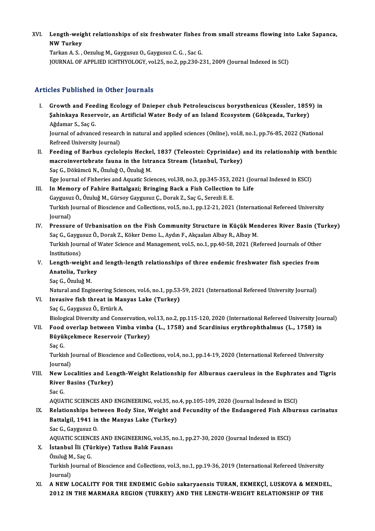XVI. Length-weight relationships of six freshwater fishes from small streams flowing into Lake Sapanca,<br>NW Turkey Length-weig<br>NW Turkey<br><sup>Torkon A S</sup> Length-weight relationships of six freshwater fishes<br>NW Turkey<br>Tarkan A.S. , Oezulug M., Gaygusuz O., Gaygusuz C. G. , Sac G.<br>JOUPMAL OF APPLIED JCHTHVOLOCY .val 35, no 2, nn 220, 2

NW Turkey<br>Tarkan A. S. , Oezulug M., Gaygusuz O., Gaygusuz C. G. , Sac G.<br>JOURNAL OF APPLIED ICHTHYOLOGY, vol.25, no.2, pp.230-231, 2009 (Journal Indexed in SCI)

#### Articles Published in Other Journals

rticles Published in Other Journals<br>I. Growth and Feeding Ecology of Dnieper chub Petroleuciscus borysthenicus (Kessler, 1859) in<br>Sabinkaya Bosaryoir, an Artificial Water Body of an Island Ecosystem (Cökseade, Turkey) Stoo I dononed in Othor Journals<br>Growth and Feeding Ecology of Dnieper chub Petroleuciscus borysthenicus (Kessler, 1859<br>Şahinkaya Reservoir, an Artificial Water Body of an Island Ecosystem (Gökçeada, Turkey) Growth and Fee<br>Şahinkaya Reser<br>Ağdamar S., Saç G.<br>Journal of advance Şahinkaya Reservoir, an Artificial Water Body of an Island Ecosystem (Gökçeada, Turkey)<br>Ağdamar S., Saç G.<br>Journal of advanced research in natural and applied sciences (Online), vol.8, no.1, pp.76-85, 2022 (National<br>Refree

Ağdamar S., Saç G.<br>Journal of advanced researc<br>Refreed University Journal)<br>Feeding of Barbus avelal I . Journal of advanced research in natural and applied sciences (Online), vol.8, no.1, pp.76-85, 2022 (National<br>Refreed University Journal)<br>II. Feeding of Barbus cyclolepis Heckel, 1837 (Teleostei: Cyprinidae) and its rel

Refreed University Journal)<br>Feeding of Barbus cyclolepis Heckel, 1837 (Teleostei: Cyprinidae) ;<br>macroinvertebrate fauna in the Istranca Stream (İstanbul, Turkey)<br>See C. Dölvimeü N. Öruluğ Q. Öruluğ M Feeding of Barbus cyclolepis Hecke<br>macroinvertebrate fauna in the Istr<br>Saç G., Dökümcü N., Özuluğ O., Özuluğ M.<br>Ege Journal of Fisheries and Aguatis Sai macroinvertebrate fauna in the Istranca Stream (İstanbul, Turkey)<br>Saç G., Dökümcü N., Özuluğ O., Özuluğ M.<br>Ege Journal of Fisheries and Aquatic Sciences, vol.38, no.3, pp.345-353, 2021 (Journal Indexed in ESCI) Saç G., Dökümcü N., Özuluğ O., Özuluğ M.<br>Ege Journal of Fisheries and Aquatic Sciences, vol.38, no.3, pp.345-353, 2021 (Journal of Fisheries and Aquatic Sciences, vol.38, no.3, pp.345-353, 2021 (Journal II.<br>III. In Memory

## Ege Journal of Fisheries and Aquatic Sciences, vol.38, no.3, pp.345-353, 2<br>In Memory of Fahire Battalgazi; Bringing Back a Fish Collection<br>Gaygusuz Ö., Özuluğ M., Gürsoy Gaygusuz Ç., Dorak Z., Saç G., Serezli E. E.<br>Turkish In Memory of Fahire Battalgazi; Bringing Back a Fish Collection to Life<br>Gaygusuz Ö., Özuluğ M., Gürsoy Gaygusuz Ç., Dorak Z., Saç G., Serezli E. E.<br>Turkish Journal of Bioscience and Collections, vol.5, no.1, pp.12-21, 2021 Gaygusu:<br>Turkish J<br>Journal)<br>Pressur Turkish Journal of Bioscience and Collections, vol.5, no.1, pp.12-21, 2021 (International Refereed University<br>Journal)<br>IV. Pressure of Urbanisation on the Fish Community Structure in Küçük Menderes River Basin (Turkey)<br>See

- Journal)<br>Pressure of Urbanisation on the Fish Community Structure in Küçük Mer<br>Saç G., Gaygusuz Ö., Dorak Z., Köker Demo L., Aydın F., Akçaalan Albay R., Albay M.<br>Turkish Journal of Water Ssience and Management, vel 5, ne Pressure of Urbanisation on the Fish Community Structure in Küçük Menderes River Basin (Tu<br>Saç G., Gaygusuz Ö., Dorak Z., Köker Demo L., Aydın F., Akçaalan Albay R., Albay M.<br>Turkish Journal of Water Science and Management Saç G., Gaygu<br>Turkish Jouri<br>Institutions)<br>Longth woi Turkish Journal of Water Science and Management, vol.5, no.1, pp.40-58, 2021 (Refereed Journals of Other<br>Institutions)<br>V. Length-weight and length-length relationships of three endemic freshwater fish species from<br>Anatolia
- Institutions)<br>Length-weight an<br>Anatolia, Turkey<br>See C. Öruluğ M Le<mark>ngth-weight</mark><br>Anatolia, Turke<br>Saç G., Özuluğ M.<br>Natural and Engi
	-

Saç G., Özuluğ M.<br>Natural and Engineering Sciences, vol.6, no.1, pp.53-59, 2021 (International Refereed University Journal) Saç G., Özuluğ M.<br>Natural and Engineering Sciences, vol.6, no.1, pp.53<br>VI. Invasive fish threat in Manyas Lake (Turkey) Natural and Engineering Scie<br>Invasive fish threat in Mai<br>Saç G., Gaygusuz Ö., Ertürk A.<br>Biologisal Divorsity and Cons

Saç G., Gaygusuz Ö., Ertürk A.<br>Biological Diversity and Conservation, vol.13, no.2, pp.115-120, 2020 (International Refereed University Journal)

# Saç G., Gaygusuz Ö., Ertürk A.<br>Biological Diversity and Conservation, vol.13, no.2, pp.115-120, 2020 (International Refereed University Jou<br>VII. Food overlap between Vimba vimba (L., 1758) and Scardinius erythrophthalm Biological Diversity and Conservation, v<br>Food overlap between Vimba vimb.<br>Büyükçekmece Reservoir (Turkey)<br>See*C* Food<br>Büyül<br>Saç G.<br>Turkis

Büyükçekmece Reservoir (Turkey)<br>Saç G.<br>Turkish Journal of Bioscience and Collections, vol.4, no.1, pp.14-19, 2020 (International Refereed University<br>Journal) Saç G.<br>Turkish J<br>Journal)<br>Now J.21

### Journal)<br>VIII. New Localities and Length-Weight Relationship for Alburnus caeruleus in the Euphrates and Tigris Journal)<br>New Localities and Ler<br>River Basins (Turkey)<br><sup>See C</sup> New I<br>River<br>Sac G. River Basins (Turkey)<br>Sac G.<br>AQUATIC SCIENCES AND ENGINEERING, vol.35, no.4, pp.105-109, 2020 (Journal Indexed in ESCI)<br>Relationships between Body Size, Weight and Eecundity of the Endangered Eich Album

## Sac G.<br>AQUATIC SCIENCES AND ENGINEERING, vol.35, no.4, pp.105-109, 2020 (Journal Indexed in ESCI)<br>IX. Relationships between Body Size, Weight and Fecundity of the Endangered Fish Alburnus carinatus<br>Pattalail 1941 in the Ma AQUATIC SCIENCES AND ENGINEERING, vol.35, no<br>Relationships between Body Size, Weight and<br>Battalgil, 1941 in the Manyas Lake (Turkey)<br>See C. Ceygueuz O Relationships bet<br>Battalgil, 1941 in<br>Sac G., Gaygusuz O.<br>AOUATIC SCIENCES Battalgil, 1941 in the Manyas Lake (Turkey)<br>Sac G., Gaygusuz O.<br>AQUATIC SCIENCES AND ENGINEERING, vol.35, no.1, pp.27-30, 2020 (Journal Indexed in ESCI)<br>Istanbul Ili (Türkiya) Tatlısı: Balık Faunası

# Sac G., Gaygusuz O.<br>AQUATIC SCIENCES AND ENGINEERING, vol.35, r<br>X. İstanbul İli (Türkiye) Tatlısu Balık Faunası<br>Özuluğ M., Sac G. AQUATIC SCIEN<mark>C</mark><br>İstanbul İli (Tü<br>Özuluğ M., Saç G.<br>Turkish Journal 4

İstanbul İli (Türkiye) Tatlısu Balık Faunası<br>Özuluğ M., Saç G.<br>Turkish Journal of Bioscience and Collections, vol.3, no.1, pp.19-36, 2019 (International Refereed University Özuluğ M<br>Turkish J<br>Journal)<br>A NEW J Turkish Journal of Bioscience and Collections, vol.3, no.1, pp.19-36, 2019 (International Refereed University<br>Journal)<br>XI. A NEW LOCALITY FOR THE ENDEMIC Gobio sakaryaensis TURAN, EKMEKÇİ, LUSKOVA & MENDEL,<br>2012 IN THE MAR

# Journal)<br>A NEW LOCALITY FOR THE ENDEMIC Gobio sakaryaensis TURAN, EKMEKÇİ, LUSKOVA & MEND<br>2012 IN THE MARMARA REGION (TURKEY) AND THE LENGTH-WEIGHT RELATIONSHIP OF THE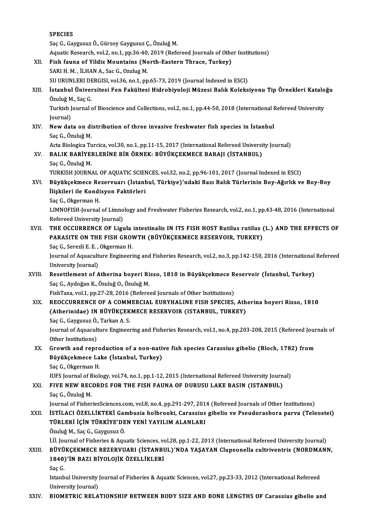|        | <b>SPECIES</b><br>Saç G., Gaygusuz Ö., Gürsoy Gaygusuz Ç., Özuluğ M.                                                                 |
|--------|--------------------------------------------------------------------------------------------------------------------------------------|
|        | Aquatic Research, vol.2, no.1, pp.36-40, 2019 (Refereed Journals of Other Institutions)                                              |
| XII.   | Fish fauna of Yildiz Mountains (North-Eastern Thrace, Turkey)                                                                        |
|        | SARI H. M., İLHAN A., Sac G., Ozulug M.                                                                                              |
|        | SU URUNLERI DERGISI, vol.36, no.1, pp.65-73, 2019 (Journal Indexed in ESCI)                                                          |
| XIII.  | İstanbul Üniversitesi Fen Fakültesi Hidrobiyoloji Müzesi Balık Koleksiyonu Tip Örnekleri Kataloğu                                    |
|        | Özuluğ M., Saç G.                                                                                                                    |
|        | Turkish Journal of Bioscience and Collections, vol.2, no.1, pp.44-50, 2018 (International Refereed University                        |
|        | Journal)                                                                                                                             |
| XIV.   | New data on distribution of three invasive freshwater fish species in Istanbul                                                       |
|        | Saç G., Özuluğ M.                                                                                                                    |
|        | Acta Biologica Turcica, vol.30, no.1, pp.11-15, 2017 (International Refereed University Journal)                                     |
| XV.    | BALIK BARİYERLERİNE BİR ÖRNEK: BÜYÜKÇEKMECE BARAJI (İSTANBUL)                                                                        |
|        | Saç G., Özuluğ M.                                                                                                                    |
|        | TURKISH JOURNAL OF AQUATIC SCIENCES, vol.32, no.2, pp.96-101, 2017 (Journal Indexed in ESCI)                                         |
| XVI.   | Büyükçekmece Rezervuarı (İstanbul, Türkiye)'ndaki Bazı Balık Türlerinin Boy-Ağırlık ve Boy-Boy                                       |
|        | İlişkileri ile Kondisyon Faktörleri                                                                                                  |
|        | Saç G., Okgerman H.                                                                                                                  |
|        | LIMNOFISH-Journal of Limnology and Freshwater Fisheries Research, vol.2, no.1, pp.43-48, 2016 (International                         |
|        | Refereed University Journal)                                                                                                         |
| XVII.  | THE OCCURRENCE OF Ligula intestinalis IN ITS FISH HOST Rutilus rutilus (L.) AND THE EFFECTS OF                                       |
|        | PARASITE ON THE FISH GROWTH (BÜYÜKÇEKMECE RESERVOIR, TURKEY)                                                                         |
|        | Saç G., Serezli E. E., Okgerman H.                                                                                                   |
|        | Journal of Aquaculture Engineering and Fisheries Research, vol.2, no.3, pp.142-150, 2016 (International Refereed                     |
|        | University Journal)                                                                                                                  |
| XVIII. | Resettlement of Atherina boyeri Risso, 1810 in Büyükçekmece Reservoir (İstanbul, Turkey)<br>Saç G., Aydoğan K., Özuluğ O., Özuluğ M. |
|        | FishTaxa, vol.1, pp.27-28, 2016 (Refereed Journals of Other Institutions)                                                            |
| XIX.   | REOCCURRENCE OF A COMMERCIAL EURYHALINE FISH SPECIES, Atherina boyeri Risso, 1810                                                    |
|        | (Atherinidae) IN BÜYÜKÇEKMECE RESERVOIR (ISTANBUL, TURKEY)                                                                           |
|        | Saç G., Gaygusuz Ö., Tarkan A. S.                                                                                                    |
|        | Journal of Aquaculture Engineering and Fisheries Research, vol.1, no.4, pp.203-208, 2015 (Refereed Journals of                       |
|        | Other Institutions)                                                                                                                  |
| XX.    | Growth and reproduction of a non-native fish species Carassius gibelio (Bloch, 1782) from                                            |
|        | Büyükçekmece Lake (İstanbul, Turkey)                                                                                                 |
|        | Saç G., Okgerman H.                                                                                                                  |
|        | IUFS Journal of Biology, vol.74, no.1, pp.1-12, 2015 (International Refereed University Journal)                                     |
| XXI.   | FIVE NEW RECORDS FOR THE FISH FAUNA OF DURUSU LAKE BASIN (ISTANBUL)                                                                  |
|        | Saç G., Özuluğ M.                                                                                                                    |
|        | Journal of FisheriesSciences.com, vol.8, no.4, pp.291-297, 2014 (Refereed Journals of Other Institutions)                            |
| XXII.  | İSTİLACI ÖZELLİKTEKİ Gambusia holbrooki, Carassius gibelio ve Pseudorasbora parva (Teleostei)                                        |
|        | TÜRLERİ İÇİN TÜRKİYE'DEN YENİ YAYILIM ALANLARI                                                                                       |
|        | Özuluğ M., Saç G., Gaygusuz Ö.                                                                                                       |
|        | İ.Ü. Journal of Fisheries & Aquatic Sciences, vol.28, pp.1-22, 2013 (International Refereed University Journal)                      |
| XXIII. | BÜYÜKÇEKMECE REZERVUARI (İSTANBUL)'NDA YAŞAYAN Clupeonella cultriventris (NORDMANN,<br>1840)'İN BAZI BİYOLOJİK ÖZELLİKLERİ           |
|        | Saç G                                                                                                                                |
|        | Istanbul University Journal of Fisheries & Aquatic Sciences, vol.27, pp.23-33, 2012 (International Refereed                          |
|        | University Journal)                                                                                                                  |
| XXIV.  | BIOMETRIC RELATIONSHIP BETWEEN BODY SIZE AND BONE LENGTHS OF Carassius gibelio and                                                   |
|        |                                                                                                                                      |